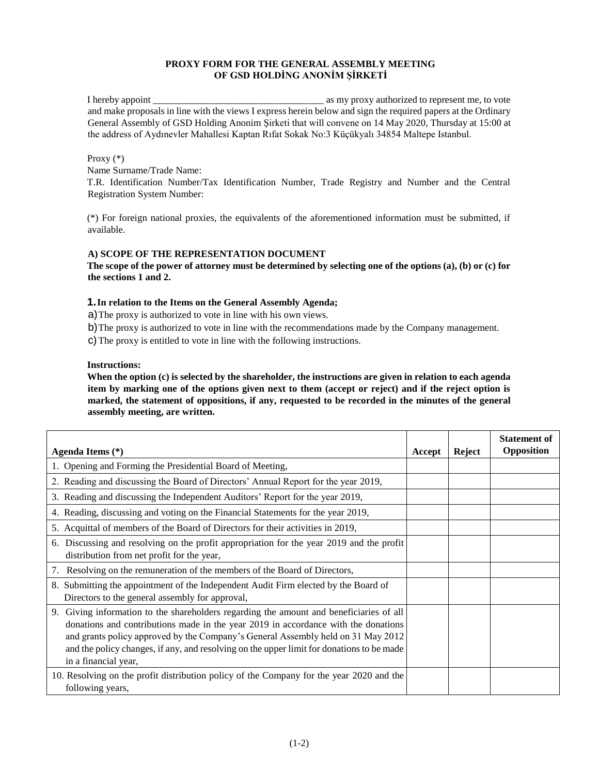## **PROXY FORM FOR THE GENERAL ASSEMBLY MEETING OF GSD HOLDİNG ANONİM ŞİRKETİ**

I hereby appoint \_\_\_\_\_\_\_\_\_\_\_\_\_\_\_\_\_\_\_\_\_\_\_\_\_\_\_\_\_\_\_\_\_\_\_ as my proxy authorized to represent me, to vote and make proposals in line with the views I express herein below and sign the required papers at the Ordinary General Assembly of GSD Holding Anonim Şirketi that will convene on 14 May 2020, Thursday at 15:00 at the address of Aydınevler Mahallesi Kaptan Rıfat Sokak No:3 Küçükyalı 34854 Maltepe Istanbul.

#### Proxy (\*)

Name Surname/Trade Name:

T.R. Identification Number/Tax Identification Number, Trade Registry and Number and the Central Registration System Number:

(\*) For foreign national proxies, the equivalents of the aforementioned information must be submitted, if available.

### **A) SCOPE OF THE REPRESENTATION DOCUMENT**

**The scope of the power of attorney must be determined by selecting one of the options (a), (b) or (c) for the sections 1 and 2.** 

### **1.In relation to the Items on the General Assembly Agenda;**

a)The proxy is authorized to vote in line with his own views.

b)The proxy is authorized to vote in line with the recommendations made by the Company management.

c)The proxy is entitled to vote in line with the following instructions.

#### **Instructions:**

**When the option (c) is selected by the shareholder, the instructions are given in relation to each agenda item by marking one of the options given next to them (accept or reject) and if the reject option is marked, the statement of oppositions, if any, requested to be recorded in the minutes of the general assembly meeting, are written.** 

| Agenda Items (*)                                                                                                                                                                                                                                                                                                                                                                       | Accept | Reject | <b>Statement of</b><br>Opposition |
|----------------------------------------------------------------------------------------------------------------------------------------------------------------------------------------------------------------------------------------------------------------------------------------------------------------------------------------------------------------------------------------|--------|--------|-----------------------------------|
| 1. Opening and Forming the Presidential Board of Meeting,                                                                                                                                                                                                                                                                                                                              |        |        |                                   |
| 2. Reading and discussing the Board of Directors' Annual Report for the year 2019,                                                                                                                                                                                                                                                                                                     |        |        |                                   |
| 3. Reading and discussing the Independent Auditors' Report for the year 2019,                                                                                                                                                                                                                                                                                                          |        |        |                                   |
| 4. Reading, discussing and voting on the Financial Statements for the year 2019,                                                                                                                                                                                                                                                                                                       |        |        |                                   |
| 5. Acquittal of members of the Board of Directors for their activities in 2019,                                                                                                                                                                                                                                                                                                        |        |        |                                   |
| 6. Discussing and resolving on the profit appropriation for the year 2019 and the profit<br>distribution from net profit for the year,                                                                                                                                                                                                                                                 |        |        |                                   |
| Resolving on the remuneration of the members of the Board of Directors,<br>7.                                                                                                                                                                                                                                                                                                          |        |        |                                   |
| 8. Submitting the appointment of the Independent Audit Firm elected by the Board of<br>Directors to the general assembly for approval,                                                                                                                                                                                                                                                 |        |        |                                   |
| 9. Giving information to the shareholders regarding the amount and beneficiaries of all<br>donations and contributions made in the year 2019 in accordance with the donations<br>and grants policy approved by the Company's General Assembly held on 31 May 2012<br>and the policy changes, if any, and resolving on the upper limit for donations to be made<br>in a financial year, |        |        |                                   |
| 10. Resolving on the profit distribution policy of the Company for the year 2020 and the<br>following years,                                                                                                                                                                                                                                                                           |        |        |                                   |